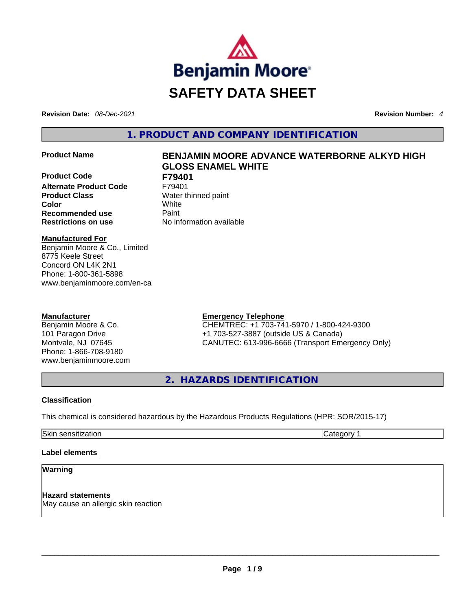

**Revision Date:** *08-Dec-2021* **Revision Number:** *4*

**1. PRODUCT AND COMPANY IDENTIFICATION** 

**Product Code F79401 Alternate Product Code** F79401 **Product Class Water thinned paint Color** White **Recommended use <b>Paint Restrictions on use** No information available

# **Product Name BENJAMIN MOORE ADVANCE WATERBORNE ALKYD HIGH GLOSS ENAMEL WHITE**

**Manufactured For**

Benjamin Moore & Co., Limited 8775 Keele Street Concord ON L4K 2N1 Phone: 1-800-361-5898 www.benjaminmoore.com/en-ca

# **Manufacturer**

Benjamin Moore & Co. 101 Paragon Drive Montvale, NJ 07645 Phone: 1-866-708-9180 www.benjaminmoore.com

# **Emergency Telephone**

CHEMTREC: +1 703-741-5970 / 1-800-424-9300 +1 703-527-3887 (outside US & Canada) CANUTEC: 613-996-6666 (Transport Emergency Only)

**2. HAZARDS IDENTIFICATION** 

# **Classification**

This chemical is considered hazardous by the Hazardous Products Regulations (HPR: SOR/2015-17)

Skin sensitization **Category 1 Category 1** 

## **Label elements**

# **Warning**

**Hazard statements** May cause an allergic skin reaction \_\_\_\_\_\_\_\_\_\_\_\_\_\_\_\_\_\_\_\_\_\_\_\_\_\_\_\_\_\_\_\_\_\_\_\_\_\_\_\_\_\_\_\_\_\_\_\_\_\_\_\_\_\_\_\_\_\_\_\_\_\_\_\_\_\_\_\_\_\_\_\_\_\_\_\_\_\_\_\_\_\_\_\_\_\_\_\_\_\_\_\_\_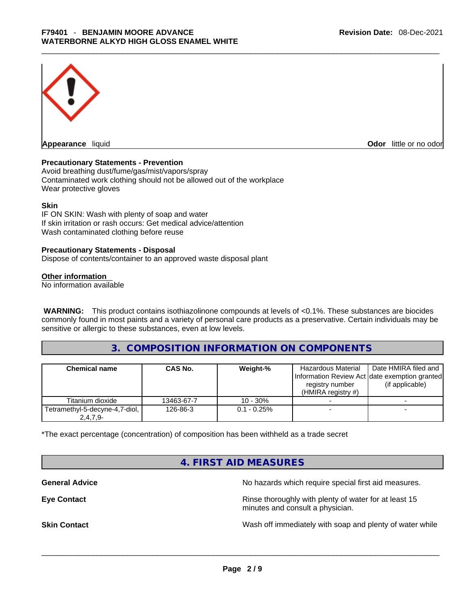

**Appearance** liquid **Odor 11** and **Odor 11** and **Odor 11** and **Odor 11** and **Odor 11** and **Odor** 11 and **Odor** 11 and **Odor** 11 and **Odor** 11 and **Odor** 11 and **Odor** 11 and **Odor** 11 and **Odor** 11 and **Odor** 11 and **Odor** 

# **Precautionary Statements - Prevention**

Avoid breathing dust/fume/gas/mist/vapors/spray Contaminated work clothing should not be allowed out of the workplace Wear protective gloves

#### **Skin**

IF ON SKIN: Wash with plenty of soap and water If skin irritation or rash occurs: Get medical advice/attention Wash contaminated clothing before reuse

#### **Precautionary Statements - Disposal**

Dispose of contents/container to an approved waste disposal plant

#### **Other information**

No information available

**WARNING:** This product contains isothiazolinone compounds at levels of <0.1%. These substances are biocides commonly found in most paints and a variety of personal care products as a preservative. Certain individuals may be sensitive or allergic to these substances, even at low levels.

# **3. COMPOSITION INFORMATION ON COMPONENTS**

| <b>Chemical name</b>                         | <b>CAS No.</b> | Weight-%       | <b>Hazardous Material</b><br>Information Review Act date exemption granted<br>registry number<br>$(HMIRA$ registry #) | Date HMIRA filed and<br>(if applicable) |
|----------------------------------------------|----------------|----------------|-----------------------------------------------------------------------------------------------------------------------|-----------------------------------------|
| Titanium dioxide                             | 13463-67-7     | $10 - 30%$     |                                                                                                                       |                                         |
| Tetramethyl-5-decyne-4,7-diol,<br>$2,4,7,9-$ | 126-86-3       | $0.1 - 0.25\%$ |                                                                                                                       |                                         |

\*The exact percentage (concentration) of composition has been withheld as a trade secret

# **4. FIRST AID MEASURES**

**General Advice General Advice No hazards which require special first aid measures.** 

**Eye Contact <b>Rinse** thoroughly with plenty of water for at least 15 minutes and consult a physician.

**Skin Contact Number 2012 Wash off immediately with soap and plenty of water while**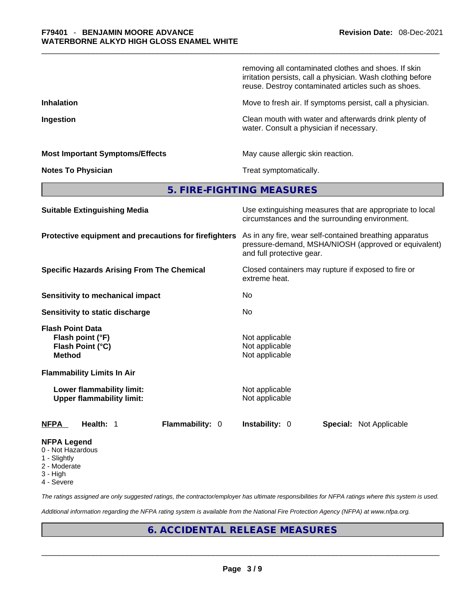|                                                                                  | removing all contaminated clothes and shoes. If skin<br>irritation persists, call a physician. Wash clothing before<br>reuse. Destroy contaminated articles such as shoes. |  |  |  |
|----------------------------------------------------------------------------------|----------------------------------------------------------------------------------------------------------------------------------------------------------------------------|--|--|--|
| <b>Inhalation</b>                                                                | Move to fresh air. If symptoms persist, call a physician.                                                                                                                  |  |  |  |
| Ingestion                                                                        | Clean mouth with water and afterwards drink plenty of<br>water. Consult a physician if necessary.                                                                          |  |  |  |
| <b>Most Important Symptoms/Effects</b>                                           | May cause allergic skin reaction.                                                                                                                                          |  |  |  |
| <b>Notes To Physician</b>                                                        | Treat symptomatically.                                                                                                                                                     |  |  |  |
|                                                                                  | 5. FIRE-FIGHTING MEASURES                                                                                                                                                  |  |  |  |
| <b>Suitable Extinguishing Media</b>                                              | Use extinguishing measures that are appropriate to local<br>circumstances and the surrounding environment.                                                                 |  |  |  |
| Protective equipment and precautions for firefighters                            | As in any fire, wear self-contained breathing apparatus<br>pressure-demand, MSHA/NIOSH (approved or equivalent)<br>and full protective gear.                               |  |  |  |
| <b>Specific Hazards Arising From The Chemical</b>                                | Closed containers may rupture if exposed to fire or<br>extreme heat.                                                                                                       |  |  |  |
| <b>Sensitivity to mechanical impact</b>                                          | No                                                                                                                                                                         |  |  |  |
| Sensitivity to static discharge                                                  | No                                                                                                                                                                         |  |  |  |
| <b>Flash Point Data</b><br>Flash point (°F)<br>Flash Point (°C)<br><b>Method</b> | Not applicable<br>Not applicable<br>Not applicable                                                                                                                         |  |  |  |
| <b>Flammability Limits In Air</b>                                                |                                                                                                                                                                            |  |  |  |
| Lower flammability limit:<br><b>Upper flammability limit:</b>                    | Not applicable<br>Not applicable                                                                                                                                           |  |  |  |
| Flammability: 0<br>NFPA<br>Health: 1                                             | Instability: 0<br><b>Special: Not Applicable</b>                                                                                                                           |  |  |  |
| NFPA Legend<br>0 - Not Hazardous                                                 |                                                                                                                                                                            |  |  |  |

- 1 Slightly
- 2 Moderate
- 3 High
- 4 Severe

*The ratings assigned are only suggested ratings, the contractor/employer has ultimate responsibilities for NFPA ratings where this system is used.* 

*Additional information regarding the NFPA rating system is available from the National Fire Protection Agency (NFPA) at www.nfpa.org.* 

# **6. ACCIDENTAL RELEASE MEASURES**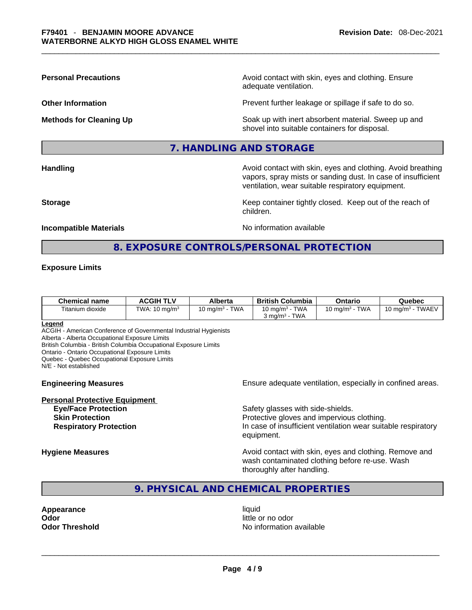**Personal Precautions Avoid contact with skin, eyes and clothing. Ensure Personal Precautions** adequate ventilation.

**Other Information Determined Intervention** Prevent further leakage or spillage if safe to do so.

**Methods for Cleaning Up Example 20 Soak** up with inert absorbent material. Sweep up and shovel into suitable containers for disposal.

# **7. HANDLING AND STORAGE**

**Handling Avoid contact with skin, eyes and clothing. Avoid breathing and all of the sking of the angle of the sking and clothing. Avoid breathing** vapors, spray mists or sanding dust. In case of insufficient ventilation, wear suitable respiratory equipment.

**Storage Keep container tightly closed. Keep out of the reach of Keep** container tightly closed. Keep out of the reach of children.

#### **Incompatible Materials Materials** No information available

# **8. EXPOSURE CONTROLS/PERSONAL PROTECTION**

#### **Exposure Limits**

| <b>Chemical name</b> | <b>ACGIH TLV</b>         | Alberta                | <b>British Columbia</b>             | Ontario                             | Quebec                                   |
|----------------------|--------------------------|------------------------|-------------------------------------|-------------------------------------|------------------------------------------|
| Titanium dioxide     | TWA: $10 \text{ mg/m}^3$ | <b>TWA</b><br>I0 ma/mª | TWA<br>10 mg/m <sup>3</sup> $\cdot$ | <b>TWA</b><br>$10 \text{ ma/m}^3$ - | <b>TWAEV</b><br>10 mg/m <sup>3</sup> - . |
|                      |                          |                        | TWA<br>$3 \text{ ma/m}^3$ $^{-1}$   |                                     |                                          |

#### **Legend**

ACGIH - American Conference of Governmental Industrial Hygienists

Alberta - Alberta Occupational Exposure Limits

British Columbia - British Columbia Occupational Exposure Limits

Ontario - Ontario Occupational Exposure Limits

Quebec - Quebec Occupational Exposure Limits N/E - Not established

**Personal Protective Equipment**

**Engineering Measures Ensure adequate ventilation, especially in confined areas.** 

**Eye/Face Protection Safety glasses with side-shields.** Safety glasses with side-shields. **Skin Protection Protection Protective gloves and impervious clothing. Respiratory Protection In case of insufficient ventilation wear suitable respiratory** equipment.

**Hygiene Measures Avoid contact with skin, eyes and clothing. Remove and Avoid contact with skin, eyes and clothing. Remove and Avoid contact with skin, eyes and clothing. Remove and** wash contaminated clothing before re-use. Wash thoroughly after handling.

# **9. PHYSICAL AND CHEMICAL PROPERTIES**

**Appearance** liquid **Odor** little or no odor

**Odor Threshold** No information available \_\_\_\_\_\_\_\_\_\_\_\_\_\_\_\_\_\_\_\_\_\_\_\_\_\_\_\_\_\_\_\_\_\_\_\_\_\_\_\_\_\_\_\_\_\_\_\_\_\_\_\_\_\_\_\_\_\_\_\_\_\_\_\_\_\_\_\_\_\_\_\_\_\_\_\_\_\_\_\_\_\_\_\_\_\_\_\_\_\_\_\_\_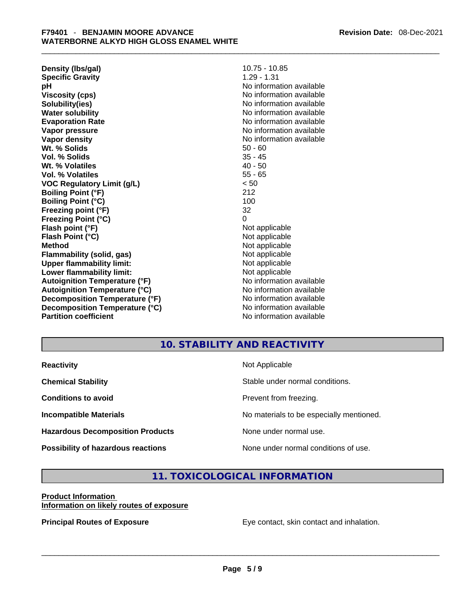| 10.75 - 10.85<br>Density (Ibs/gal)                 |                          |  |  |
|----------------------------------------------------|--------------------------|--|--|
| <b>Specific Gravity</b>                            | $1.29 - 1.31$            |  |  |
| No information available<br>рH                     |                          |  |  |
| <b>Viscosity (cps)</b>                             | No information available |  |  |
| Solubility(ies)                                    | No information available |  |  |
| <b>Water solubility</b>                            | No information available |  |  |
| <b>Evaporation Rate</b>                            | No information available |  |  |
| Vapor pressure                                     | No information available |  |  |
| Vapor density                                      | No information available |  |  |
| Wt. % Solids                                       | $50 - 60$                |  |  |
| Vol. % Solids                                      | 35 - 45                  |  |  |
| Wt. % Volatiles                                    | $40 - 50$                |  |  |
| <b>Vol. % Volatiles</b>                            | $55 - 65$                |  |  |
| VOC Regulatory Limit (g/L)                         | < 50                     |  |  |
| <b>Boiling Point (°F)</b>                          | 212                      |  |  |
| <b>Boiling Point (°C)</b>                          | 100                      |  |  |
| Freezing point (°F)                                | 32                       |  |  |
| <b>Freezing Point (°C)</b>                         | 0                        |  |  |
| Flash point (°F)                                   | Not applicable           |  |  |
| Flash Point (°C)                                   | Not applicable           |  |  |
| Method                                             | Not applicable           |  |  |
| Not applicable<br><b>Flammability (solid, gas)</b> |                          |  |  |
| <b>Upper flammability limit:</b>                   | Not applicable           |  |  |
| Lower flammability limit:                          | Not applicable           |  |  |
| <b>Autoignition Temperature (°F)</b>               | No information available |  |  |
| Autoignition Temperature (°C)                      | No information available |  |  |
| Decomposition Temperature (°F)                     | No information available |  |  |
| Decomposition Temperature (°C)                     | No information available |  |  |
| <b>Partition coefficient</b>                       | No information available |  |  |

# **10. STABILITY AND REACTIVITY**

| <b>Reactivity</b>                       | Not Applicable                           |
|-----------------------------------------|------------------------------------------|
| <b>Chemical Stability</b>               | Stable under normal conditions.          |
| <b>Conditions to avoid</b>              | Prevent from freezing.                   |
| <b>Incompatible Materials</b>           | No materials to be especially mentioned. |
| <b>Hazardous Decomposition Products</b> | None under normal use.                   |
| Possibility of hazardous reactions      | None under normal conditions of use.     |

# **11. TOXICOLOGICAL INFORMATION**

# **Product Information**

**Information on likely routes of exposure**

**Principal Routes of Exposure** Eye contact, skin contact and inhalation. \_\_\_\_\_\_\_\_\_\_\_\_\_\_\_\_\_\_\_\_\_\_\_\_\_\_\_\_\_\_\_\_\_\_\_\_\_\_\_\_\_\_\_\_\_\_\_\_\_\_\_\_\_\_\_\_\_\_\_\_\_\_\_\_\_\_\_\_\_\_\_\_\_\_\_\_\_\_\_\_\_\_\_\_\_\_\_\_\_\_\_\_\_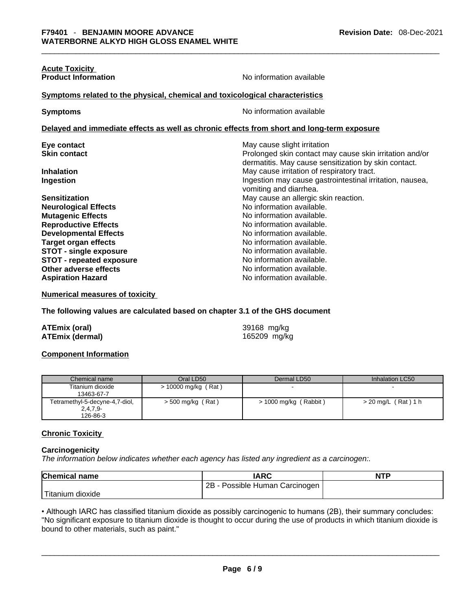| <b>Acute Toxicity</b><br><b>Product Information</b>                                        | No information available                                                                                        |  |  |  |
|--------------------------------------------------------------------------------------------|-----------------------------------------------------------------------------------------------------------------|--|--|--|
|                                                                                            |                                                                                                                 |  |  |  |
| Symptoms related to the physical, chemical and toxicological characteristics               |                                                                                                                 |  |  |  |
| <b>Symptoms</b>                                                                            | No information available                                                                                        |  |  |  |
| Delayed and immediate effects as well as chronic effects from short and long-term exposure |                                                                                                                 |  |  |  |
| Eye contact                                                                                | May cause slight irritation                                                                                     |  |  |  |
| <b>Skin contact</b>                                                                        | Prolonged skin contact may cause skin irritation and/or<br>dermatitis. May cause sensitization by skin contact. |  |  |  |
| <b>Inhalation</b>                                                                          | May cause irritation of respiratory tract.                                                                      |  |  |  |
| Ingestion                                                                                  | Ingestion may cause gastrointestinal irritation, nausea,<br>vomiting and diarrhea.                              |  |  |  |
| <b>Sensitization</b>                                                                       | May cause an allergic skin reaction.                                                                            |  |  |  |
| <b>Neurological Effects</b>                                                                | No information available.                                                                                       |  |  |  |
| <b>Mutagenic Effects</b>                                                                   | No information available.                                                                                       |  |  |  |
| <b>Reproductive Effects</b>                                                                | No information available.                                                                                       |  |  |  |
| <b>Developmental Effects</b>                                                               | No information available.                                                                                       |  |  |  |
| <b>Target organ effects</b>                                                                | No information available.                                                                                       |  |  |  |
| <b>STOT - single exposure</b>                                                              | No information available.                                                                                       |  |  |  |
| <b>STOT - repeated exposure</b>                                                            | No information available.                                                                                       |  |  |  |
| Other adverse effects                                                                      | No information available.                                                                                       |  |  |  |
| <b>Aspiration Hazard</b>                                                                   | No information available.                                                                                       |  |  |  |

**Numerical measures of toxicity**

**The following values are calculated based on chapter 3.1 of the GHS document**

| <b>ATEmix (oral)</b>   | 39168 mg/kg  |
|------------------------|--------------|
| <b>ATEmix (dermal)</b> | 165209 mg/kg |

## **Component Information**

| Chemical name                  | Oral LD50           | Dermal LD50           | Inhalation LC50       |
|--------------------------------|---------------------|-----------------------|-----------------------|
| Titanium dioxide               | > 10000 mg/kg (Rat) |                       |                       |
| 13463-67-7                     |                     |                       |                       |
| Tetramethyl-5-decyne-4,7-diol, | > 500 mg/kg (Rat)   | > 1000 mg/kg (Rabbit) | $> 20$ mg/L (Rat) 1 h |
| $2,4,7,9-$                     |                     |                       |                       |
| 126-86-3                       |                     |                       |                       |

# **Chronic Toxicity**

## **Carcinogenicity**

*The information below indicates whether each agency has listed any ingredient as a carcinogen:.* 

| <b>Chemical name</b>          | IARC                                  | <b>NTP</b> |
|-------------------------------|---------------------------------------|------------|
|                               | $2B -$<br>- Possible Human Carcinogen |            |
| <sup>1</sup> Titanium dioxide |                                       |            |

• Although IARC has classified titanium dioxide as possibly carcinogenic to humans (2B), their summary concludes: "No significant exposure to titanium dioxide is thought to occur during the use of products in which titanium dioxide is bound to other materials, such as paint."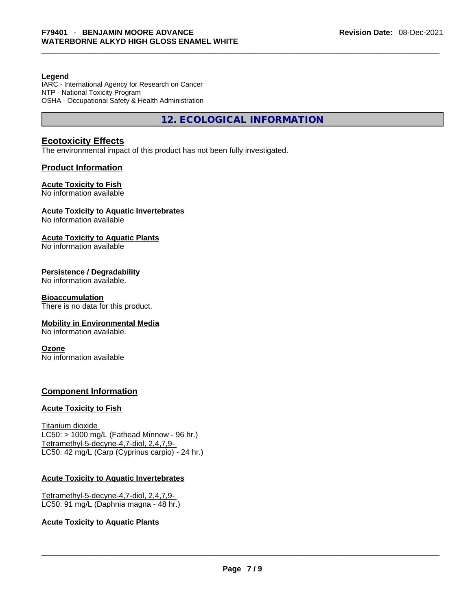#### **Legend**

IARC - International Agency for Research on Cancer NTP - National Toxicity Program OSHA - Occupational Safety & Health Administration

**12. ECOLOGICAL INFORMATION** 

# **Ecotoxicity Effects**

The environmental impact of this product has not been fully investigated.

# **Product Information**

#### **Acute Toxicity to Fish**

No information available

# **Acute Toxicity to Aquatic Invertebrates**

No information available

#### **Acute Toxicity to Aquatic Plants**

No information available

## **Persistence / Degradability**

No information available.

#### **Bioaccumulation**

There is no data for this product.

## **Mobility in Environmental Media**

No information available.

#### **Ozone**

No information available

# **Component Information**

## **Acute Toxicity to Fish**

Titanium dioxide  $LC50:$  > 1000 mg/L (Fathead Minnow - 96 hr.) Tetramethyl-5-decyne-4,7-diol, 2,4,7,9- LC50: 42 mg/L (Carp (Cyprinus carpio) - 24 hr.)

## **Acute Toxicity to Aquatic Invertebrates**

Tetramethyl-5-decyne-4,7-diol, 2,4,7,9- LC50: 91 mg/L (Daphnia magna - 48 hr.)

## **Acute Toxicity to Aquatic Plants**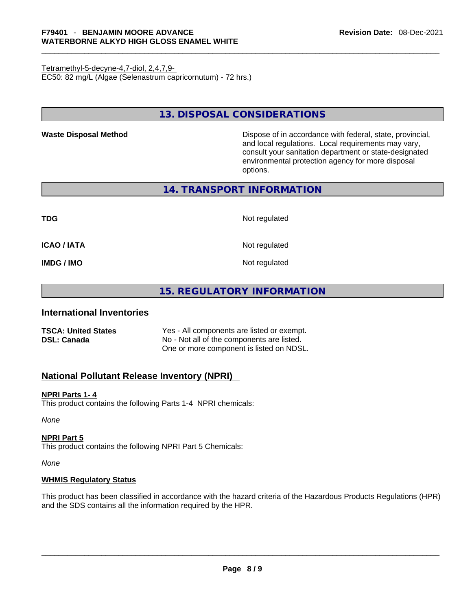Tetramethyl-5-decyne-4,7-diol, 2,4,7,9- EC50: 82 mg/L (Algae (Selenastrum capricornutum) - 72 hrs.)

**13. DISPOSAL CONSIDERATIONS** 

**Waste Disposal Method** Dispose of in accordance with federal, state, provincial, and local regulations. Local requirements may vary, consult your sanitation department or state-designated environmental protection agency for more disposal options.

# **14. TRANSPORT INFORMATION**

**TDG** Not regulated

**ICAO / IATA** Not regulated

**IMDG / IMO** Not regulated

# **15. REGULATORY INFORMATION**

# **International Inventories**

**TSCA: United States** Yes - All components are listed or exempt. **DSL: Canada** No - Not all of the components are listed. One or more component is listed on NDSL.

# **National Pollutant Release Inventory (NPRI)**

# **NPRI Parts 1- 4**

This product contains the following Parts 1-4 NPRI chemicals:

*None*

## **NPRI Part 5**

This product contains the following NPRI Part 5 Chemicals:

*None*

## **WHMIS Regulatory Status**

This product has been classified in accordance with the hazard criteria of the Hazardous Products Regulations (HPR) and the SDS contains all the information required by the HPR. \_\_\_\_\_\_\_\_\_\_\_\_\_\_\_\_\_\_\_\_\_\_\_\_\_\_\_\_\_\_\_\_\_\_\_\_\_\_\_\_\_\_\_\_\_\_\_\_\_\_\_\_\_\_\_\_\_\_\_\_\_\_\_\_\_\_\_\_\_\_\_\_\_\_\_\_\_\_\_\_\_\_\_\_\_\_\_\_\_\_\_\_\_